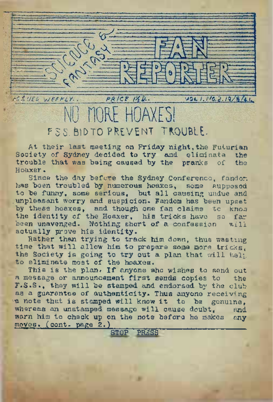SSUED WEEKLY .. PRICE ILD.  $V2L1.040.2.13/8/1.$ 

## MORE HOAXES! F.S.S. AID TO PREVENT TROUBLE.

At their last meeting on Friday night, the Futurian Society of Sydney decided to try and eliminate the trouble that was being caused by the pranks of the trouble that was being caused by the pranks of Hoaxer.

Since the day before the Sydney Conference, fandom has been troubled by numerous hoaxes, some supposed to be funny, some serious, but all causing undue and .unpleasant worry and suspicion.. Fandom has been upset by these hoaxes, and though one fan claims to know the identity of the Hoaxer, his tricks have so far been unavenged. Nothing short of a confession will actually prove his identity.

Rather than trying to track him down, thus wasting time that will allow him to prepare some more tricks. the Society is going to try out a plan that will help to eliminate most of the hoaxes.

This is the plan. If anyone who wishes to send out<br>essage or announcement first sends copies to the a message or announcement first sends copies to F.S.S., they will be stamped and endorsed by the club as a guarantee of authenticity. Thus anyone receiving a note that is stamped will know it to be genuine,<br>whereas an unstamped message will cause doubt. and whereas an unstamped message will cause doubt. warn him to check up on the note before he makes any  $moves$ , (cont. page  $2.$ ) STOP PRASS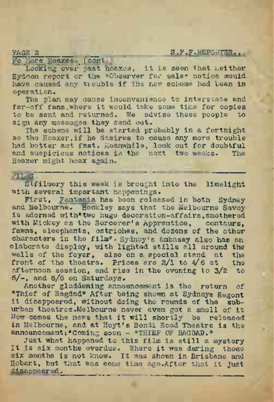PAGE 2 \_\_ \_ \_ \_ \_ \_ S.F.F.REPOKTBR.

No More Hoaxes (cont

Looking over past hoaxes, it is seen that neither Sydcon report or the "Observer for sale" notice would<br>have caused any trouble if the new scheme had been in operation.

The plan may cause inconvenience to interstate and far-off fans, where it would take some time for copies to be sent and returned. We advise these people to sign any messages they send out.

The scheme will be started probably in a fortnight so the Hoaxer,if he desires to cause any more trouble had better act fast. Meanwhile, look out for doubtful and suspicious notices in the next two weeks. The Hoaxer might hoax again.

FILMS.<br>Stfilmery this week is brought into the limelight with several important happenings.

First, Fantasia has been released in both Sydney and Melbourne. Hockley says that the Melbourne Savoy is adorned with"two huge decoration-affairs,smothered with Mickey as the Sorcerer's Apprentice, centaurs, fawns, eleephants, ostriches, and dozens of the other characters in the film". Sydney's ambassy also has an elaborate display, with lighted stills all around the walls of the foyer, also on a special stand at the front of the theatre. Prices are  $2/1$  to  $4/6$  at the front of the theatre. Prices are  $2/1$  to  $4/6$  at afternoon session, and rise in the evening to 3/2 to 6/-, and 6/6 on Saturdays.

Another gladdening announcement is the return of "Thief of Bagdad" After being shown at Sydneys Regent it disappeared, without doing the rounds of the suburban theatres.Melbourne never even got a smell of it Now comes the news that it will shortly be released' in Melbourne, and at Hoyt's Bondi Road Theatre is the announcement: "Coming soon - "THIEF OF BAGDAD."

Just what happened to this film is still a mystery It is six months overdue. Where it was during those six months is not know. It was shown in Brisbane and Hobart, but that was some time ago.After that it just disappeared.\_\_ \_ \_\_\_\_\_\_\_\_\_\_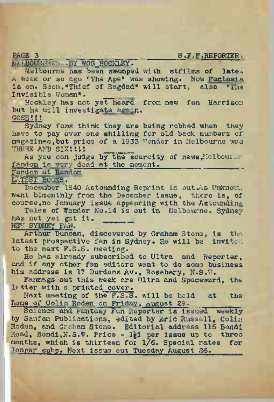PAGE\_3 \_\_\_\_\_\_\_\_\_ \_\_\_\_\_\_\_\_\_ \_\_\_\_\_\_\_ S.F.F.REPORTER, IfflJuBQURlWS<sup>o</sup> <sup>7</sup>bY WOG^HOCKLEY .

Melbourne has been swamped with stfilms of late. A week or so ago "The Ape" was showing. Now Fantasia is on. Soon,"Thief of Bagdad" will start, also "The Invisible Woman". \_\_

Hockley has not yet heard from new fan Harrison but he will investigate again. GOSH!!!

Sydney fans think they are being robbed when they have to pay over one shilling for old back numbers of magazines,but price of a 1933 Wonder in Melbourne was THREE AND SIXILLI

As you can judge by the scarcity of news, Melbourne fandom is very dead at the moment.

Fandom at <sup>R</sup>andom LATEST BOOKS.

December 1940 Astounding Reprint is out .As Unknown. went bimonthly from the December issue, there is, of course,no January issue appearing with the Astounding-

Tales of Wonder No.14 is out in Melbourne. Sydney has not yet got it.

NET SYDNEY FAN.

Arthur Duncan, discovered by Graham Stone, is the latest prospective fan in Sydney. He will be invite. to the next F.S.S. meeting.

He has already subscribed to Ultra and Reporter, and if any other fan editors want to do some business his address is 17 Durdans Av., Rosebery, N.S.W.

Fanmags out this week are Ultra and Spaceward, the letter with a printed cover.

Next meeting of the F.S.S. will be held at the hone of Colin Roden on Friday, August 29,

Science and Fantasy Fan Reporter is issued weekly by Sanfan Publications, edited by Eric Russell, Colin Roden, and Graham Stone. Editorial address 115 Bondi Road, Bondi, N.S.W. Price - lid per issue up to three months, which is thirteen fox 1/6. Special rates for longer subs. Next issue out Tuesday August 26.